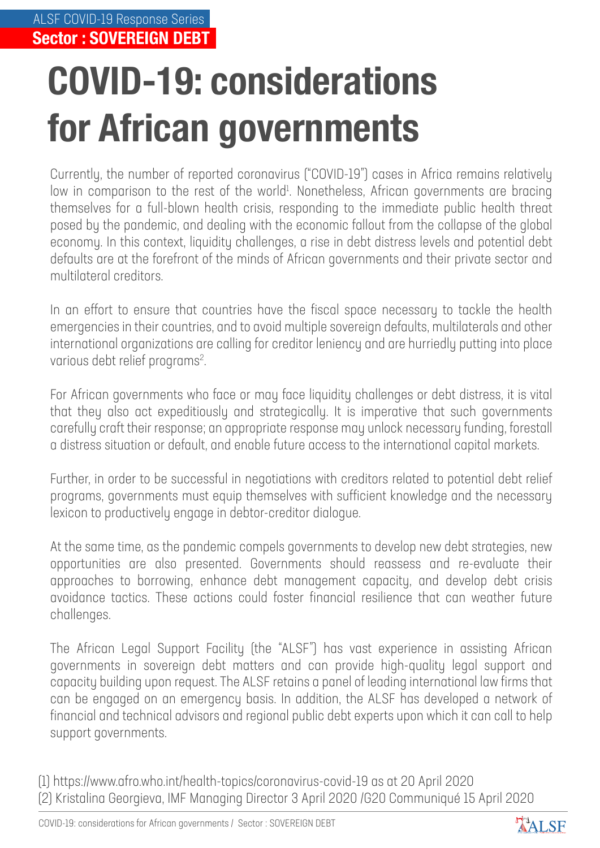**Sector : SOVEREIGN DEBT**  ALSF COVID-19 Response Series

## **COVID-19: considerations for African governments**

Currently, the number of reported coronavirus ("COVID-19") cases in Africa remains relatively low in comparison to the rest of the world<sup>1</sup>. Nonetheless, African governments are bracing themselves for a full-blown health crisis, responding to the immediate public health threat posed by the pandemic, and dealing with the economic fallout from the collapse of the global economy. In this context, liquidity challenges, a rise in debt distress levels and potential debt defaults are at the forefront of the minds of African governments and their private sector and multilateral creditors.

In an effort to ensure that countries have the fiscal space necessary to tackle the health emergencies in their countries, and to avoid multiple sovereign defaults, multilaterals and other international organizations are calling for creditor leniency and are hurriedly putting into place various debt relief programs<sup>2</sup>.

For African governments who face or may face liquidity challenges or debt distress, it is vital that they also act expeditiously and strategically. It is imperative that such governments carefully craft their response; an appropriate response may unlock necessary funding, forestall a distress situation or default, and enable future access to the international capital markets.

Further, in order to be successful in negotiations with creditors related to potential debt relief programs, governments must equip themselves with sufficient knowledge and the necessary lexicon to productively engage in debtor-creditor dialogue.

At the same time, as the pandemic compels governments to develop new debt strategies, new opportunities are also presented. Governments should reassess and re-evaluate their approaches to borrowing, enhance debt management capacity, and develop debt crisis avoidance tactics. These actions could foster financial resilience that can weather future challenges.

The African Legal Support Facility (the "ALSF") has vast experience in assisting African governments in sovereign debt matters and can provide high-quality legal support and capacity building upon request. The ALSF retains a panel of leading international law firms that can be engaged on an emergency basis. In addition, the ALSF has developed a network of financial and technical advisors and regional public debt experts upon which it can call to help support governments.

(1) https://www.afro.who.int/health-topics/coronavirus-covid-19 as at 20 April 2020 (2) Kristalina Georgieva, IMF Managing Director 3 April 2020 /G20 Communiqué 15 April 2020